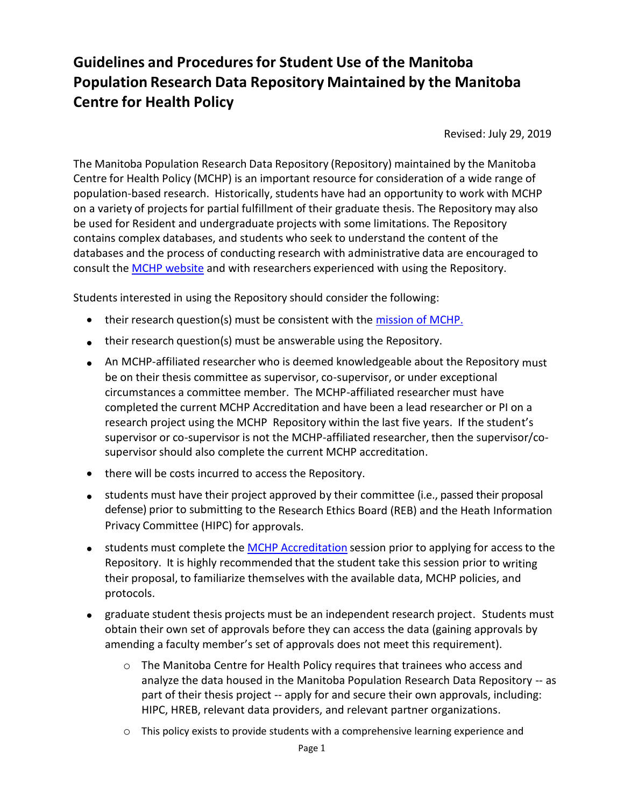## **Guidelines and Proceduresfor Student Use of the Manitoba Population Research Data Repository Maintained by the Manitoba Centre for Health Policy**

Revised: July 29, 2019

The Manitoba Population Research Data Repository (Repository) maintained by the Manitoba Centre for Health Policy (MCHP) is an important resource for consideration of a wide range of population-based research. Historically, students have had an opportunity to work with MCHP on a variety of projects for partial fulfillment of their graduate thesis. The Repository may also be used for Resident and undergraduate projects with some limitations. The Repository contains complex databases, and students who seek to understand the content of the databases and the process of conducting research with administrative data are encouraged to consult the MCHP [website](http://umanitoba.ca/faculties/health_sciences/medicine/units/chs/departmental_units/mchp/resources/access.html) and with researchers experienced with using the Repository.

Students interested in using the Repository should consider the following:

- their research question(s) must be consistent with the mission [of MCHP.](http://umanitoba.ca/faculties/health_sciences/medicine/units/chs/departmental_units/mchp/mission.html)
- their research question(s) must be answerable using the Repository.
- An MCHP-affiliated researcher who is deemed knowledgeable about the Repository must be on their thesis committee as supervisor, co-supervisor, or under exceptional circumstances a committee member. The MCHP-affiliated researcher must have completed the current MCHP Accreditation and have been a lead researcher or PI on a research project using the MCHP Repository within the last five years. If the student's supervisor or co-supervisor is not the MCHP-affiliated researcher, then the supervisor/cosupervisor should also complete the current MCHP accreditation.
- there will be costs incurred to access the Repository.
- students must have their project approved by their committee (i.e., passed their proposal defense) prior to submitting to the Research Ethics Board (REB) and the Heath Information Privacy Committee (HIPC) for approvals.
- **•** students must complete the **MCHP [Accreditation](http://umanitoba.ca/faculties/health_sciences/medicine/units/chs/departmental_units/mchp/resources/accreditation.html)** session prior to applying for access to the Repository. It is highly recommended that the student take this session prior to writing their proposal, to familiarize themselves with the available data, MCHP policies, and protocols.
- graduate student thesis projects must be an independent research project. Students must obtain their own set of approvals before they can access the data (gaining approvals by amending a faculty member's set of approvals does not meet this requirement).
	- o The Manitoba Centre for Health Policy requires that trainees who access and analyze the data housed in the Manitoba Population Research Data Repository -- as part of their thesis project -- apply for and secure their own approvals, including: HIPC, HREB, relevant data providers, and relevant partner organizations.
	- o This policy exists to provide students with a comprehensive learning experience and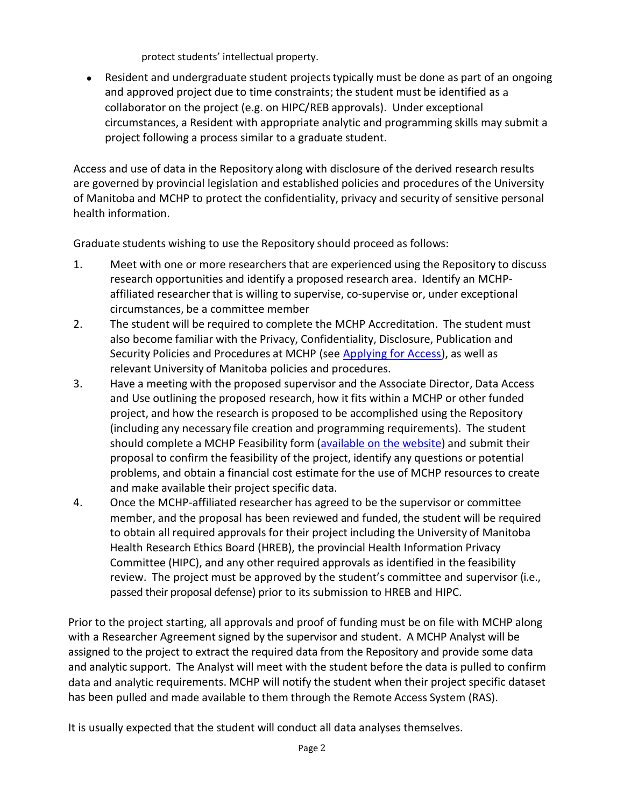protect students' intellectual property.

• Resident and undergraduate student projects typically must be done as part of an ongoing and approved project due to time constraints; the student must be identified as a collaborator on the project (e.g. on HIPC/REB approvals). Under exceptional circumstances, a Resident with appropriate analytic and programming skills may submit a project following a process similar to a graduate student.

Access and use of data in the Repository along with disclosure of the derived research results are governed by provincial legislation and established policies and procedures of the University of Manitoba and MCHP to protect the confidentiality, privacy and security of sensitive personal health information.

Graduate students wishing to use the Repository should proceed as follows:

- 1. Meet with one or more researchersthat are experienced using the Repository to discuss research opportunities and identify a proposed research area. Identify an MCHPaffiliated researcher that is willing to supervise, co-supervise or, under exceptional circumstances, be a committee member
- 2. The student will be required to complete the MCHP Accreditation. The student must also become familiar with the Privacy, Confidentiality, Disclosure, Publication and Security Policies and Procedures at MCHP (see [Applying for Access\)](http://umanitoba.ca/faculties/health_sciences/medicine/units/chs/departmental_units/mchp/resources/access.html), as well as relevant University of Manitoba policies and procedures.
- 3. Have a meeting with the proposed supervisor and the Associate Director, Data Access and Use outlining the proposed research, how it fits within a MCHP or other funded project, and how the research is proposed to be accomplished using the Repository (including any necessary file creation and programming requirements). The student should complete a MCHP Feasibility form [\(available](http://umanitoba.ca/faculties/health_sciences/medicine/units/chs/departmental_units/mchp/protocol/media/mchp_feasibility_form.pdf) on the website) and submit their proposal to confirm the feasibility of the project, identify any questions or potential problems, and obtain a financial cost estimate for the use of MCHP resources to create and make available their project specific data.
- 4. Once the MCHP-affiliated researcher has agreed to be the supervisor or committee member, and the proposal has been reviewed and funded, the student will be required to obtain all required approvals for their project including the University of Manitoba Health Research Ethics Board (HREB), the provincial Health Information Privacy Committee (HIPC), and any other required approvals as identified in the feasibility review. The project must be approved by the student's committee and supervisor (i.e., passed their proposal defense) prior to its submission to HREB and HIPC.

Prior to the project starting, all approvals and proof of funding must be on file with MCHP along with a Researcher Agreement signed by the supervisor and student. A MCHP Analyst will be assigned to the project to extract the required data from the Repository and provide some data and analytic support. The Analyst will meet with the student before the data is pulled to confirm data and analytic requirements. MCHP will notify the student when their project specific dataset has been pulled and made available to them through the Remote Access System (RAS).

It is usually expected that the student will conduct all data analyses themselves.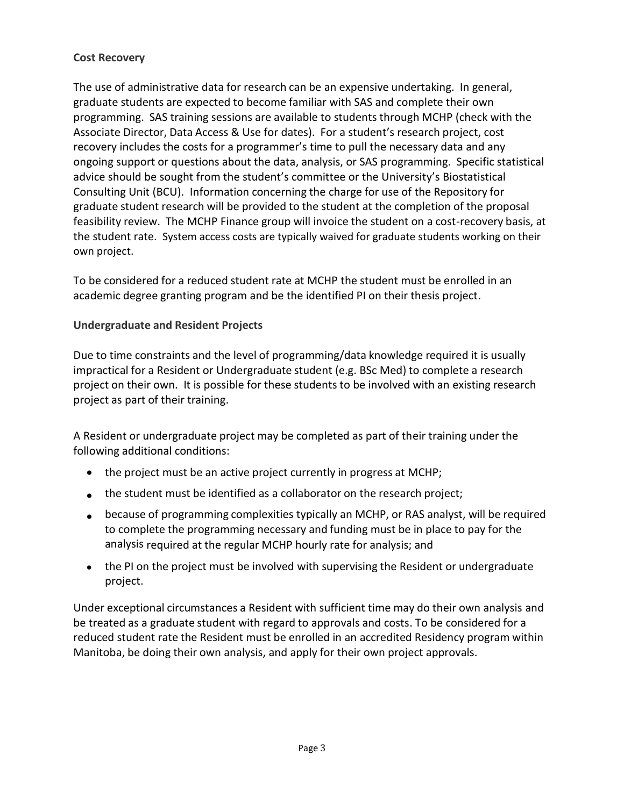## **Cost Recovery**

The use of administrative data for research can be an expensive undertaking. In general, graduate students are expected to become familiar with SAS and complete their own programming. SAS training sessions are available to students through MCHP (check with the Associate Director, Data Access & Use for dates). For a student's research project, cost recovery includes the costs for a programmer's time to pull the necessary data and any ongoing support or questions about the data, analysis, or SAS programming. Specific statistical advice should be sought from the student's committee or the University's Biostatistical Consulting Unit (BCU). Information concerning the charge for use of the Repository for graduate student research will be provided to the student at the completion of the proposal feasibility review. The MCHP Finance group will invoice the student on a cost-recovery basis, at the student rate. System access costs are typically waived for graduate students working on their own project.

To be considered for a reduced student rate at MCHP the student must be enrolled in an academic degree granting program and be the identified PI on their thesis project.

## **Undergraduate and Resident Projects**

Due to time constraints and the level of programming/data knowledge required it is usually impractical for a Resident or Undergraduate student (e.g. BSc Med) to complete a research project on their own. It is possible for these students to be involved with an existing research project as part of their training.

A Resident or undergraduate project may be completed as part of their training under the following additional conditions:

- the project must be an active project currently in progress at MCHP;
- the student must be identified as a collaborator on the research project;
- because of programming complexities typically an MCHP, or RAS analyst, will be required to complete the programming necessary and funding must be in place to pay for the analysis required at the regular MCHP hourly rate for analysis; and
- the PI on the project must be involved with supervising the Resident or undergraduate project.

Under exceptional circumstances a Resident with sufficient time may do their own analysis and be treated as a graduate student with regard to approvals and costs. To be considered for a reduced student rate the Resident must be enrolled in an accredited Residency program within Manitoba, be doing their own analysis, and apply for their own project approvals.